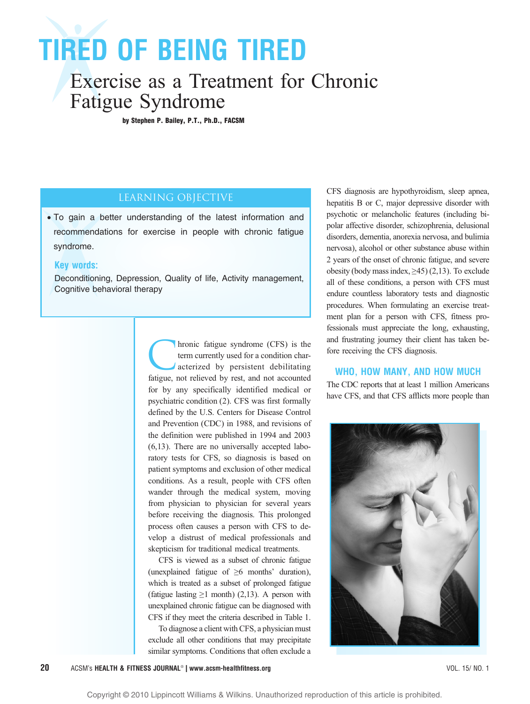# TIRED OF BEING TIRED

## Exercise as a Treatment for Chronic Fatigue Syndrome

by Stephen P. Bailey, P.T., Ph.D., FACSM

#### LEARNING OBJECTIVE

• To gain a better understanding of the latest information and recommendations for exercise in people with chronic fatigue syndrome.

#### Key words:

Deconditioning, Depression, Quality of life, Activity management, Cognitive behavioral therapy

> Aronic fatigue syndrome (CFS) is the term currently used for a condition characterized by persistent debilitating term currently used for a condition charfatigue, not relieved by rest, and not accounted for by any specifically identified medical or psychiatric condition (2). CFS was first formally defined by the U.S. Centers for Disease Control and Prevention (CDC) in 1988, and revisions of the definition were published in 1994 and 2003 (6,13). There are no universally accepted laboratory tests for CFS, so diagnosis is based on patient symptoms and exclusion of other medical conditions. As a result, people with CFS often wander through the medical system, moving from physician to physician for several years before receiving the diagnosis. This prolonged process often causes a person with CFS to develop a distrust of medical professionals and skepticism for traditional medical treatments.

> CFS is viewed as a subset of chronic fatigue (unexplained fatigue of  $\geq 6$  months' duration), which is treated as a subset of prolonged fatigue (fatigue lasting  $\geq 1$  month) (2,13). A person with unexplained chronic fatigue can be diagnosed with CFS if they meet the criteria described in Table 1.

To diagnose a client with CFS, a physician must exclude all other conditions that may precipitate similar symptoms. Conditions that often exclude a

CFS diagnosis are hypothyroidism, sleep apnea, hepatitis B or C, major depressive disorder with psychotic or melancholic features (including bipolar affective disorder, schizophrenia, delusional disorders, dementia, anorexia nervosa, and bulimia nervosa), alcohol or other substance abuse within 2 years of the onset of chronic fatigue, and severe obesity (body mass index,  $\geq$ 45) (2,13). To exclude all of these conditions, a person with CFS must endure countless laboratory tests and diagnostic procedures. When formulating an exercise treatment plan for a person with CFS, fitness professionals must appreciate the long, exhausting, and frustrating journey their client has taken before receiving the CFS diagnosis.

#### WHO, HOW MANY, AND HOW MUCH

The CDC reports that at least 1 million Americans have CFS, and that CFS afflicts more people than

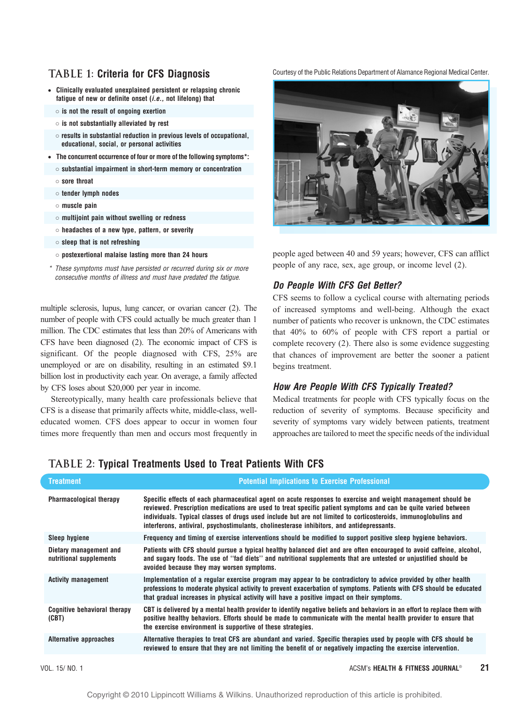#### TABLE 1: Criteria for CFS Diagnosis

- Clinically evaluated unexplained persistent or relapsing chronic fatigue of new or definite onset  $(i.e.,$  not lifelong) that
	- $\circ$  is not the result of ongoing exertion
	- $\circ$  is not substantially alleviated by rest
	- $\circ$  results in substantial reduction in previous levels of occupational, educational, social, or personal activities
- The concurrent occurrence of four or more of the following symptoms\*:
	- $\circ$  substantial impairment in short-term memory or concentration
	- ) sore throat
	- $\circ$  tender lymph nodes
	- $\circ$  muscle pain
	- $\circ$  multijoint pain without swelling or redness
	- $\circ$  headaches of a new type, pattern, or severity
	- $\circ$  sleep that is not refreshing
	- $\circ$  postexertional malaise lasting more than 24 hours
- \* These symptoms must have persisted or recurred during six or more consecutive months of illness and must have predated the fatigue.

multiple sclerosis, lupus, lung cancer, or ovarian cancer (2). The number of people with CFS could actually be much greater than 1 million. The CDC estimates that less than 20% of Americans with CFS have been diagnosed (2). The economic impact of CFS is significant. Of the people diagnosed with CFS, 25% are unemployed or are on disability, resulting in an estimated \$9.1 billion lost in productivity each year. On average, a family affected by CFS loses about \$20,000 per year in income.

Stereotypically, many health care professionals believe that CFS is a disease that primarily affects white, middle-class, welleducated women. CFS does appear to occur in women four times more frequently than men and occurs most frequently in Courtesy of the Public Relations Department of Alamance Regional Medical Center.



people aged between 40 and 59 years; however, CFS can afflict people of any race, sex, age group, or income level (2).

#### Do People With CFS Get Better?

CFS seems to follow a cyclical course with alternating periods of increased symptoms and well-being. Although the exact number of patients who recover is unknown, the CDC estimates that 40% to 60% of people with CFS report a partial or complete recovery (2). There also is some evidence suggesting that chances of improvement are better the sooner a patient begins treatment.

#### How Are People With CFS Typically Treated?

Medical treatments for people with CFS typically focus on the reduction of severity of symptoms. Because specificity and severity of symptoms vary widely between patients, treatment approaches are tailored to meet the specific needs of the individual

#### TABLE 2: Typical Treatments Used to Treat Patients With CFS

| <b>Potential Implications to Exercise Professional</b>                                                                                                                                                                                                                                                                                                                                                                                        |
|-----------------------------------------------------------------------------------------------------------------------------------------------------------------------------------------------------------------------------------------------------------------------------------------------------------------------------------------------------------------------------------------------------------------------------------------------|
| Specific effects of each pharmaceutical agent on acute responses to exercise and weight management should be<br>reviewed. Prescription medications are used to treat specific patient symptoms and can be quite varied between<br>individuals. Typical classes of drugs used include but are not limited to corticosteroids, immunoglobulins and<br>interferons, antiviral, psychostimulants, cholinesterase inhibitors, and antidepressants. |
| Frequency and timing of exercise interventions should be modified to support positive sleep hygiene behaviors.                                                                                                                                                                                                                                                                                                                                |
| Patients with CFS should pursue a typical healthy balanced diet and are often encouraged to avoid caffeine, alcohol,<br>and sugary foods. The use of "fad diets" and nutritional supplements that are untested or unjustified should be<br>avoided because they may worsen symptoms.                                                                                                                                                          |
| Implementation of a regular exercise program may appear to be contradictory to advice provided by other health<br>professions to moderate physical activity to prevent exacerbation of symptoms. Patients with CFS should be educated<br>that gradual increases in physical activity will have a positive impact on their symptoms.                                                                                                           |
| CBT is delivered by a mental health provider to identify negative beliefs and behaviors in an effort to replace them with<br>positive healthy behaviors. Efforts should be made to communicate with the mental health provider to ensure that<br>the exercise environment is supportive of these strategies.                                                                                                                                  |
| Alternative therapies to treat CFS are abundant and varied. Specific therapies used by people with CFS should be<br>reviewed to ensure that they are not limiting the benefit of or negatively impacting the exercise intervention.                                                                                                                                                                                                           |
|                                                                                                                                                                                                                                                                                                                                                                                                                                               |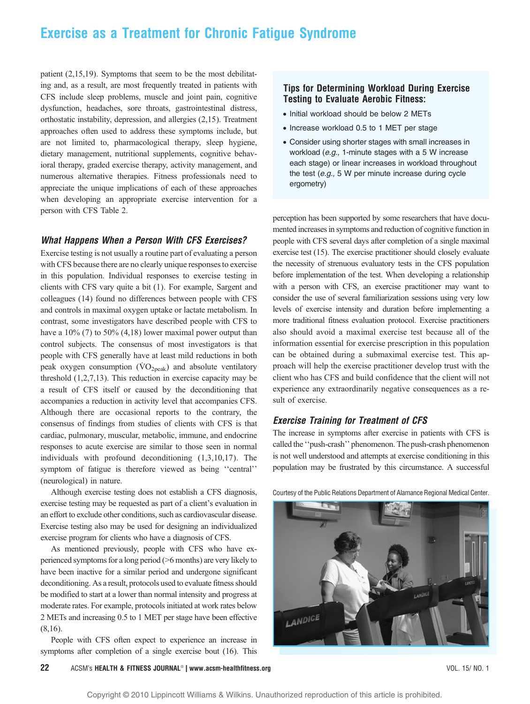## Exercise as a Treatment for Chronic Fatigue Syndrome

patient (2,15,19). Symptoms that seem to be the most debilitating and, as a result, are most frequently treated in patients with CFS include sleep problems, muscle and joint pain, cognitive dysfunction, headaches, sore throats, gastrointestinal distress, orthostatic instability, depression, and allergies (2,15). Treatment approaches often used to address these symptoms include, but are not limited to, pharmacological therapy, sleep hygiene, dietary management, nutritional supplements, cognitive behavioral therapy, graded exercise therapy, activity management, and numerous alternative therapies. Fitness professionals need to appreciate the unique implications of each of these approaches when developing an appropriate exercise intervention for a person with CFS Table 2.

#### What Happens When a Person With CFS Exercises?

Exercise testing is not usually a routine part of evaluating a person with CFS because there are no clearly unique responses to exercise in this population. Individual responses to exercise testing in clients with CFS vary quite a bit (1). For example, Sargent and colleagues (14) found no differences between people with CFS and controls in maximal oxygen uptake or lactate metabolism. In contrast, some investigators have described people with CFS to have a  $10\%$  (7) to 50% (4,18) lower maximal power output than control subjects. The consensus of most investigators is that people with CFS generally have at least mild reductions in both peak oxygen consumption  $(\dot{V}O_{2\text{peak}})$  and absolute ventilatory threshold (1,2,7,13). This reduction in exercise capacity may be a result of CFS itself or caused by the deconditioning that accompanies a reduction in activity level that accompanies CFS. Although there are occasional reports to the contrary, the consensus of findings from studies of clients with CFS is that cardiac, pulmonary, muscular, metabolic, immune, and endocrine responses to acute exercise are similar to those seen in normal individuals with profound deconditioning (1,3,10,17). The symptom of fatigue is therefore viewed as being ''central'' (neurological) in nature.

Although exercise testing does not establish a CFS diagnosis, exercise testing may be requested as part of a client's evaluation in an effort to exclude other conditions, such as cardiovascular disease. Exercise testing also may be used for designing an individualized exercise program for clients who have a diagnosis of CFS.

As mentioned previously, people with CFS who have experienced symptoms for a long period (*9*6 months) are very likely to have been inactive for a similar period and undergone significant deconditioning. As a result, protocols used to evaluate fitness should be modified to start at a lower than normal intensity and progress at moderate rates. For example, protocols initiated at work rates below 2 METs and increasing 0.5 to 1 MET per stage have been effective (8,16).

People with CFS often expect to experience an increase in symptoms after completion of a single exercise bout (16). This

#### Tips for Determining Workload During Exercise Testing to Evaluate Aerobic Fitness:

- Initial workload should be below 2 METs
- Increase workload 0.5 to 1 MET per stage
- Consider using shorter stages with small increases in workload (e.g., 1-minute stages with a 5 W increase each stage) or linear increases in workload throughout the test (e.g., 5 W per minute increase during cycle ergometry)

perception has been supported by some researchers that have documented increases in symptoms and reduction of cognitive function in people with CFS several days after completion of a single maximal exercise test (15). The exercise practitioner should closely evaluate the necessity of strenuous evaluatory tests in the CFS population before implementation of the test. When developing a relationship with a person with CFS, an exercise practitioner may want to consider the use of several familiarization sessions using very low levels of exercise intensity and duration before implementing a more traditional fitness evaluation protocol. Exercise practitioners also should avoid a maximal exercise test because all of the information essential for exercise prescription in this population can be obtained during a submaximal exercise test. This approach will help the exercise practitioner develop trust with the client who has CFS and build confidence that the client will not experience any extraordinarily negative consequences as a result of exercise.

#### Exercise Training for Treatment of CFS

The increase in symptoms after exercise in patients with CFS is called the ''push-crash'' phenomenon. The push-crash phenomenon is not well understood and attempts at exercise conditioning in this population may be frustrated by this circumstance. A successful

Courtesy of the Public Relations Department of Alamance Regional Medical Center.

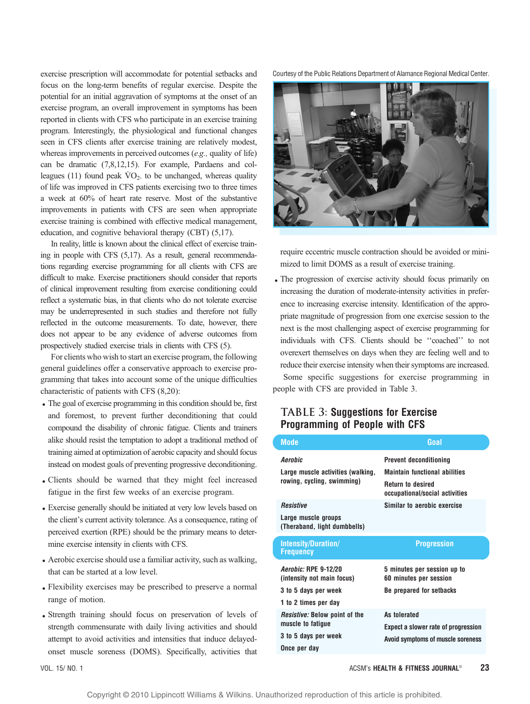exercise prescription will accommodate for potential setbacks and focus on the long-term benefits of regular exercise. Despite the potential for an initial aggravation of symptoms at the onset of an exercise program, an overall improvement in symptoms has been reported in clients with CFS who participate in an exercise training program. Interestingly, the physiological and functional changes seen in CFS clients after exercise training are relatively modest, whereas improvements in perceived outcomes (e.g., quality of life) can be dramatic (7,8,12,15). For example, Pardaens and colleagues (11) found peak  $\dot{V}O_2$  to be unchanged, whereas quality of life was improved in CFS patients exercising two to three times a week at 60% of heart rate reserve. Most of the substantive improvements in patients with CFS are seen when appropriate exercise training is combined with effective medical management, education, and cognitive behavioral therapy (CBT) (5,17).

In reality, little is known about the clinical effect of exercise training in people with CFS (5,17). As a result, general recommendations regarding exercise programming for all clients with CFS are difficult to make. Exercise practitioners should consider that reports of clinical improvement resulting from exercise conditioning could reflect a systematic bias, in that clients who do not tolerate exercise may be underrepresented in such studies and therefore not fully reflected in the outcome measurements. To date, however, there does not appear to be any evidence of adverse outcomes from prospectively studied exercise trials in clients with CFS (5).

For clients who wish to start an exercise program, the following general guidelines offer a conservative approach to exercise programming that takes into account some of the unique difficulties characteristic of patients with CFS (8,20):

- The goal of exercise programming in this condition should be, first and foremost, to prevent further deconditioning that could compound the disability of chronic fatigue. Clients and trainers alike should resist the temptation to adopt a traditional method of training aimed at optimization of aerobic capacity and should focus instead on modest goals of preventing progressive deconditioning.
- Clients should be warned that they might feel increased fatigue in the first few weeks of an exercise program.
- Exercise generally should be initiated at very low levels based on the client's current activity tolerance. As a consequence, rating of perceived exertion (RPE) should be the primary means to determine exercise intensity in clients with CFS.
- Aerobic exercise should use a familiar activity, such as walking, that can be started at a low level.
- Flexibility exercises may be prescribed to preserve a normal range of motion.
- Strength training should focus on preservation of levels of strength commensurate with daily living activities and should attempt to avoid activities and intensities that induce delayedonset muscle soreness (DOMS). Specifically, activities that

Courtesy of the Public Relations Department of Alamance Regional Medical Center.



require eccentric muscle contraction should be avoided or minimized to limit DOMS as a result of exercise training.

• The progression of exercise activity should focus primarily on increasing the duration of moderate-intensity activities in preference to increasing exercise intensity. Identification of the appropriate magnitude of progression from one exercise session to the next is the most challenging aspect of exercise programming for individuals with CFS. Clients should be ''coached'' to not overexert themselves on days when they are feeling well and to reduce their exercise intensity when their symptoms are increased. Some specific suggestions for exercise programming in people with CFS are provided in Table 3.

#### TABLE 3: Suggestions for Exercise Programming of People with CFS

| <b>Mode</b>                                                      | Goal                                                       |
|------------------------------------------------------------------|------------------------------------------------------------|
| Aerobic                                                          | <b>Prevent deconditioning</b>                              |
| Large muscle activities (walking,<br>rowing, cycling, swimming)  | <b>Maintain functional abilities</b>                       |
|                                                                  | <b>Return to desired</b><br>occupational/social activities |
| <b>Resistive</b>                                                 | Similar to aerobic exercise                                |
| Large muscle groups<br>(Theraband, light dumbbells)              |                                                            |
| Intensity/Duration/<br><b>Frequency</b>                          | <b>Progression</b>                                         |
| <i><b>Aerobic: RPE 9-12/20</b></i><br>(intensity not main focus) | 5 minutes per session up to<br>60 minutes per session      |
| 3 to 5 days per week                                             | Be prepared for setbacks                                   |
| 1 to 2 times per day                                             |                                                            |
|                                                                  |                                                            |
| <i>Resistive:</i> Below point of the                             | As tolerated                                               |
| muscle to fatigue                                                | <b>Expect a slower rate of progression</b>                 |
| 3 to 5 days per week                                             | Avoid symptoms of muscle soreness                          |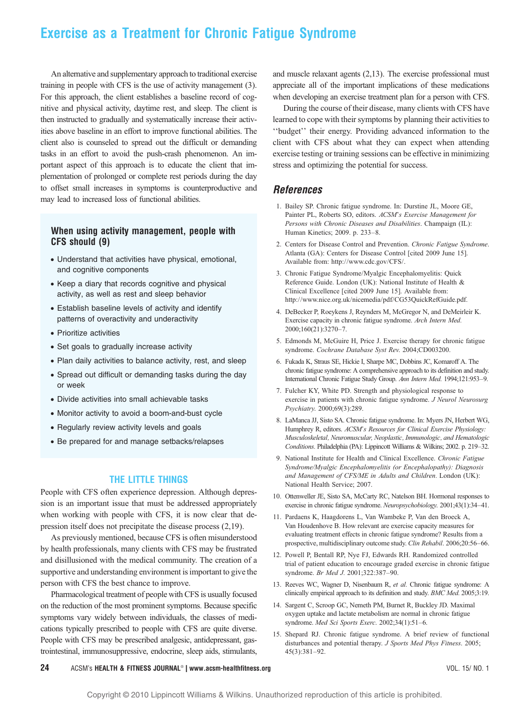## Exercise as a Treatment for Chronic Fatigue Syndrome

An alternative and supplementary approach to traditional exercise training in people with CFS is the use of activity management (3). For this approach, the client establishes a baseline record of cognitive and physical activity, daytime rest, and sleep. The client is then instructed to gradually and systematically increase their activities above baseline in an effort to improve functional abilities. The client also is counseled to spread out the difficult or demanding tasks in an effort to avoid the push-crash phenomenon. An important aspect of this approach is to educate the client that implementation of prolonged or complete rest periods during the day to offset small increases in symptoms is counterproductive and may lead to increased loss of functional abilities.

#### When using activity management, people with CFS should (9)

- Understand that activities have physical, emotional, and cognitive components
- Keep a diary that records cognitive and physical activity, as well as rest and sleep behavior
- Establish baseline levels of activity and identify patterns of overactivity and underactivity
- Prioritize activities
- Set goals to gradually increase activity
- Plan daily activities to balance activity, rest, and sleep
- Spread out difficult or demanding tasks during the day or week
- Divide activities into small achievable tasks
- Monitor activity to avoid a boom-and-bust cycle
- Regularly review activity levels and goals
- Be prepared for and manage setbacks/relapses

#### THE LITTLE THINGS

People with CFS often experience depression. Although depression is an important issue that must be addressed appropriately when working with people with CFS, it is now clear that depression itself does not precipitate the disease process (2,19).

As previously mentioned, because CFS is often misunderstood by health professionals, many clients with CFS may be frustrated and disillusioned with the medical community. The creation of a supportive and understanding environment is important to give the person with CFS the best chance to improve.

Pharmacological treatment of people with CFS is usually focused on the reduction of the most prominent symptoms. Because specific symptoms vary widely between individuals, the classes of medications typically prescribed to people with CFS are quite diverse. People with CFS may be prescribed analgesic, antidepressant, gastrointestinal, immunosuppressive, endocrine, sleep aids, stimulants,

and muscle relaxant agents (2,13). The exercise professional must appreciate all of the important implications of these medications when developing an exercise treatment plan for a person with CFS.

During the course of their disease, many clients with CFS have learned to cope with their symptoms by planning their activities to ''budget'' their energy. Providing advanced information to the client with CFS about what they can expect when attending exercise testing or training sessions can be effective in minimizing stress and optimizing the potential for success.

#### References

- 1. Bailey SP. Chronic fatigue syndrome. In: Durstine JL, Moore GE, Painter PL, Roberts SO, editors. ACSM's Exercise Management for Persons with Chronic Diseases and Disabilities. Champaign (IL): Human Kinetics; 2009. p. 233–8.
- 2. Centers for Disease Control and Prevention. Chronic Fatigue Syndrome. Atlanta (GA): Centers for Disease Control [cited 2009 June 15]. Available from: http://www.cdc.gov/CFS/.
- 3. Chronic Fatigue Syndrome/Myalgic Encephalomyelitis: Quick Reference Guide. London (UK): National Institute of Health & Clinical Excellence [cited 2009 June 15]. Available from: http://www.nice.org.uk/nicemedia/pdf/CG53QuickRefGuide.pdf.
- 4. DeBecker P, Roeykens J, Reynders M, McGregor N, and DeMeirleir K. Exercise capacity in chronic fatigue syndrome. Arch Intern Med. 2000;160(21):3270–7.
- 5. Edmonds M, McGuire H, Price J. Exercise therapy for chronic fatigue syndrome. Cochrane Database Syst Rev. 2004;CD003200.
- 6. Fukada K, Straus SE, Hickie I, Sharpe MC, Dobbins JC, Komaroff A. The chronic fatigue syndrome: A comprehensive approach to its definition and study. International Chronic Fatigue Study Group. Ann Intern Med. 1994;121:953–9.
- 7. Fulcher KY, White PD. Strength and physiological response to exercise in patients with chronic fatigue syndrome. J Neurol Neurosurg Psychiatry. 2000;69(3):289.
- 8. LaManca JJ, Sisto SA. Chronic fatigue syndrome. In: Myers JN, Herbert WG, Humphrey R, editors. ACSM's Resources for Clinical Exercise Physiology: Musculoskeletal, Neuromuscular, Neoplastic, Immunologic, and Hematologic Conditions. Philadelphia (PA): Lippincott Williams & Wilkins; 2002. p. 219–32.
- 9. National Institute for Health and Clinical Excellence. Chronic Fatigue Syndrome/Myalgic Encephalomyelitis (or Encephalopathy): Diagnosis and Management of CFS/ME in Adults and Children. London (UK): National Health Service; 2007.
- 10. Ottenweller JE, Sisto SA, McCarty RC, Natelson BH. Hormonal responses to exercise in chronic fatigue syndrome. Neuropsychobiology. 2001;43(1):34–41.
- 11. Pardaens K, Haagdorens L, Van Wambeke P, Van den Broeck A, Van Houdenhove B. How relevant are exercise capacity measures for evaluating treatment effects in chronic fatigue syndrome? Results from a prospective, multidisciplinary outcome study. Clin Rehabil. 2006;20:56–66.
- 12. Powell P, Bentall RP, Nye FJ, Edwards RH. Randomized controlled trial of patient education to encourage graded exercise in chronic fatigue syndrome. Br Med J. 2001;322:387–90.
- 13. Reeves WC, Wagner D, Nisenbaum R, et al. Chronic fatigue syndrome: A clinically empirical approach to its definition and study. BMC Med. 2005;3:19.
- 14. Sargent C, Scroop GC, Nemeth PM, Burnet R, Buckley JD. Maximal oxygen uptake and lactate metabolism are normal in chronic fatigue syndrome. Med Sci Sports Exerc. 2002;34(1):51–6.
- 15. Shepard RJ. Chronic fatigue syndrome. A brief review of functional disturbances and potential therapy. J Sports Med Phys Fitness. 2005; 45(3):381–92.